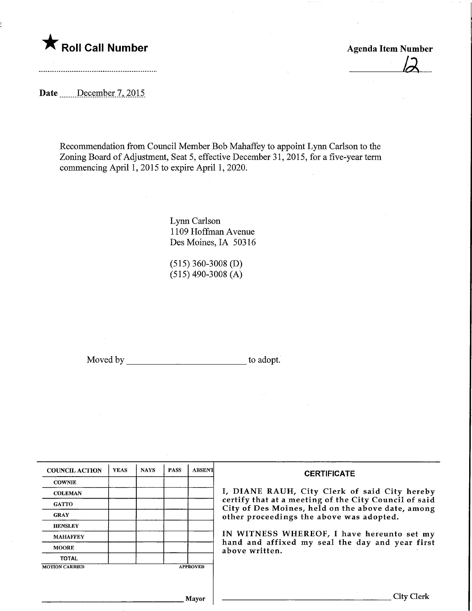

Agenda Item Number

Date .......December 7, 2015

Recommendation from Council Member Bob Mahaffey to appoint Lynn Carlson to the Zoning Board of Adjustment, Seat 5, effective December 31, 2015, for a five-year term commencing April 1, 2015 to expire April 1,2020.

> Lynn Carlson 1109 Hoffman Avenue Des Moines, IA 50316

(515) 360-3008 (D)  $(515)$  490-3008 (A)

Moved by to adopt.

| <b>COUNCIL ACTION</b> | <b>YEAS</b> | <b>NAYS</b> | <b>PASS</b> | <b>ABSENT</b>   | <b>CERTIFICATE</b>                                                                                         |
|-----------------------|-------------|-------------|-------------|-----------------|------------------------------------------------------------------------------------------------------------|
| <b>COWNIE</b>         |             |             |             |                 |                                                                                                            |
| <b>COLEMAN</b>        |             |             |             |                 | I, DIANE RAUH, City Clerk of said City hereby                                                              |
| <b>GATTO</b>          |             |             |             |                 | certify that at a meeting of the City Council of said<br>City of Des Moines, held on the above date, among |
| <b>GRAY</b>           |             |             |             |                 | other proceedings the above was adopted.                                                                   |
| <b>HENSLEY</b>        |             |             |             |                 |                                                                                                            |
| <b>MAHAFFEY</b>       |             |             |             |                 | IN WITNESS WHEREOF, I have hereunto set my                                                                 |
| <b>MOORE</b>          |             |             |             |                 | hand and affixed my seal the day and year first<br>above written.                                          |
| <b>TOTAL</b>          |             |             |             |                 |                                                                                                            |
| <b>MOTION CARRIED</b> |             |             |             | <b>APPROVED</b> |                                                                                                            |
|                       |             |             |             |                 |                                                                                                            |
|                       |             |             |             |                 |                                                                                                            |
|                       |             |             |             | <b>Mayor</b>    | City Clerk                                                                                                 |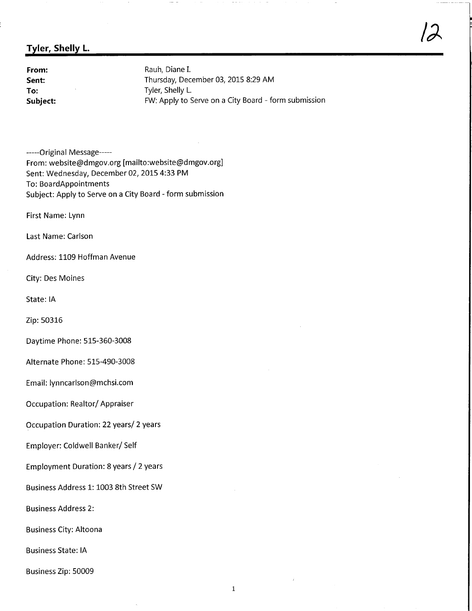## Tyler, Shelly L

**From:** Rauh, Diane I.<br> **Sent:** Thursday, Dec Thursday, December 03, 2015 8:29 AM To: Tyler, Shelly L.<br>
Subject: The Contract EW: Apply to S FW: Apply to Serve on a City Board - form submission  $\overline{\alpha}$ 

-----Original Message-----From: website@dmgov.org [mailto:website@dmgov.org] Sent: Wednesday, December 02, 2015 4:33 PM To: BoardAppointments Subject: Apply to Serve on a City Board - form submission

First Name: Lynn

Last Name: Carlson

Address: 1109 Hoffman Avenue

City: Des Moines

State: IA

Zip: 50316

Daytime Phone: 515-360-3008

Alternate Phone: 515-490-3008

Email: lynncarlson@mchsi.com

Occupation: Realtor/Appraiser

Occupation Duration: 22 years/ 2 years

Employer: Coldwell Banker/Self

Employment Duration: 8 years / 2 years

Business Address 1: 1003 8th Street SW

Business Address 2:

Business City: Altoona

Business State: IA

Business Zip: 50009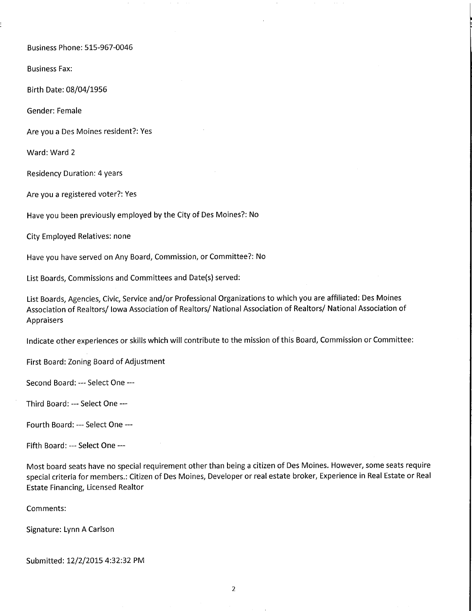Business Phone: 515-967-0046

Business Fax:

Birth Date: 08/04/1956

Gender: Female

Are you a Des Moines resident?: Yes

Ward: Ward 2

Residency Duration: 4 years

Are you a registered voter?: Yes

Have you been previously employed by the City of Des Moines?: No

City Employed Relatives: none

Have you have served on Any Board, Commission, or Committee?: No

List Boards, Commissions and Committees and Date(s) served:

List Boards, Agencies, Civic, Service and/or Professional Organizations to which you are affiliated: Des Moines Association of Realtors/ Iowa Association of Realtors/ National Association of Realtors/ National Association of Appraisers

Indicate other experiences or skills which will contribute to the mission of this Board, Commission or Committee:

First Board: Zoning Board of Adjustment

Second Board: --- Select One ---

Third Board: --- Select One ---

Fourth Board: — Select One

Fifth Board: --- Select One ---

Most board seats have no special requirement other than being a citizen of Des Moines. However, some seats require special criteria for members.: Citizen of Des Moines, Developer or real estate broker, Experience in Real Estate or Real Estate Financing, Licensed Realtor

Comments:

Signature: Lynn A Carlson

Submitted: 12/2/2015 4:32:32 PM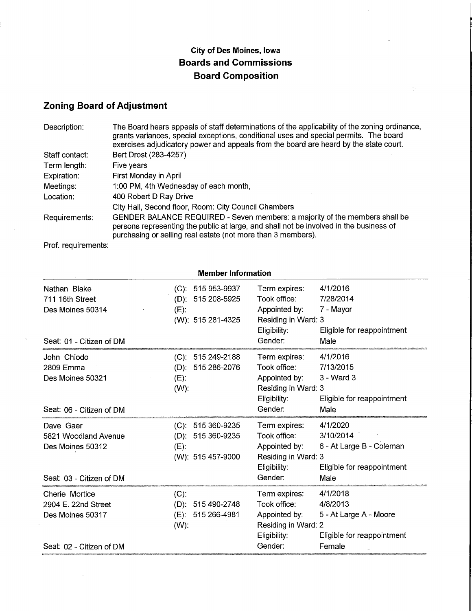## City of Des Moines, Iowa Boards and Commissions Board Composition

## Zoning Board of Adjustment

| Description:   | The Board hears appeals of staff determinations of the applicability of the zoning ordinance,<br>grants variances, special exceptions, conditional uses and special permits. The board<br>exercises adjudicatory power and appeals from the board are heard by the state court. |
|----------------|---------------------------------------------------------------------------------------------------------------------------------------------------------------------------------------------------------------------------------------------------------------------------------|
| Staff contact: | Bert Drost (283-4257)                                                                                                                                                                                                                                                           |
| Term length:   | Five years                                                                                                                                                                                                                                                                      |
| Expiration:    | First Monday in April                                                                                                                                                                                                                                                           |
| Meetings:      | 1:00 PM, 4th Wednesday of each month,                                                                                                                                                                                                                                           |
| Location:      | 400 Robert D Ray Drive                                                                                                                                                                                                                                                          |
|                | City Hall, Second floor, Room: City Council Chambers                                                                                                                                                                                                                            |
| Requirements:  | GENDER BALANCE REQUIRED - Seven members: a majority of the members shall be<br>persons representing the public at large, and shall not be involved in the business of<br>purchasing or selling real estate (not more than 3 members).                                           |

Prof. requirements:

|                                                           | <b>Member Information</b>                                                 |                                                                                       |                                                                                 |  |  |  |
|-----------------------------------------------------------|---------------------------------------------------------------------------|---------------------------------------------------------------------------------------|---------------------------------------------------------------------------------|--|--|--|
| Nathan Blake<br>711 16th Street<br>Des Moines 50314       | $(C): 515953-9937$<br>(D): 515 208-5925<br>$(E)$ :<br>(W): 515 281-4325   | Term expires:<br>Took office:<br>Appointed by:<br>Residing in Ward: 3<br>Eligibility: | 4/1/2016<br>7/28/2014<br>7 - Mayor<br>Eligible for reappointment                |  |  |  |
| Seat: 01 - Citizen of DM                                  |                                                                           | Gender:                                                                               | Male                                                                            |  |  |  |
| John Chiodo<br>2809 Emma<br>Des Moines 50321              | 515 249-2188<br>(C):<br>515 286-2076<br>$(D)$ :<br>$(E)$ :<br>$(W)$ :     | Term expires:<br>Took office:<br>Appointed by:<br>Residing in Ward: 3<br>Eligibility: | 4/1/2016<br>7/13/2015<br>3 - Ward 3<br>Eligible for reappointment               |  |  |  |
| Seat: 06 - Citizen of DM                                  |                                                                           | Gender:                                                                               | Male                                                                            |  |  |  |
| Dave Gaer<br>5821 Woodland Avenue<br>Des Moines 50312     | 515 360-9235<br>(C).<br>(D): 515 360-9235<br>$(E)$ :<br>(W): 515 457-9000 | Term expires:<br>Took office:<br>Appointed by:<br>Residing in Ward: 3<br>Eligibility: | 4/1/2020<br>3/10/2014<br>6 - At Large B - Coleman<br>Eligible for reappointment |  |  |  |
| Seat: 03 - Citizen of DM                                  |                                                                           | Gender:                                                                               | Male                                                                            |  |  |  |
| Cherie Mortice<br>2904 E. 22nd Street<br>Des Moines 50317 | $(C)$ :<br>(D):<br>515 490-2748<br>(E): 515 266-4981<br>$(W)$ :           | Term expires:<br>Took office:<br>Appointed by:<br>Residing in Ward: 2<br>Eligibility: | 4/1/2018<br>4/8/2013<br>5 - At Large A - Moore<br>Eligible for reappointment    |  |  |  |
| Seat: 02 - Citizen of DM                                  |                                                                           | Gender:                                                                               | Female                                                                          |  |  |  |